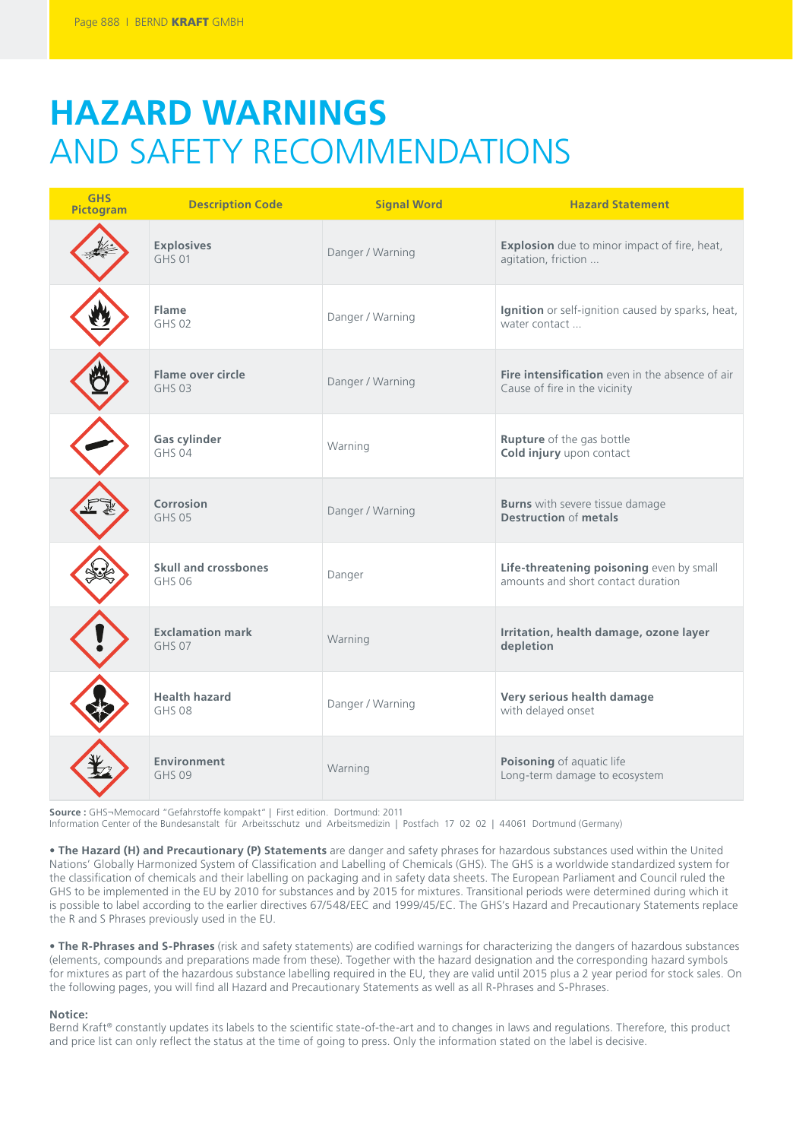# **HAZARD WARNINGS**  AND SAFETY RECOMMENDATIONS

| <b>GHS</b><br>Pictogram | <b>Description Code</b>                  | <b>Signal Word</b> | <b>Hazard Statement</b>                                                          |
|-------------------------|------------------------------------------|--------------------|----------------------------------------------------------------------------------|
|                         | <b>Explosives</b><br>$GHS$ 01            | Danger / Warning   | Explosion due to minor impact of fire, heat,<br>agitation, friction              |
|                         | Flame<br>GHS 02                          | Danger / Warning   | Ignition or self-ignition caused by sparks, heat,<br>water contact               |
|                         | Flame over circle<br>GHS 03              | Danger / Warning   | Fire intensification even in the absence of air<br>Cause of fire in the vicinity |
|                         | <b>Gas cylinder</b><br>GHS 04            | Warning            | <b>Rupture</b> of the gas bottle<br>Cold injury upon contact                     |
|                         | Corrosion<br><b>GHS 05</b>               | Danger / Warning   | <b>Burns</b> with severe tissue damage<br><b>Destruction of metals</b>           |
|                         | Skull and crossbones<br><b>GHS 06</b>    | Danger             | Life-threatening poisoning even by small<br>amounts and short contact duration   |
|                         | <b>Exclamation mark</b><br><b>GHS 07</b> | Warning            | Irritation, health damage, ozone layer<br>depletion                              |
|                         | <b>Health hazard</b><br><b>GHS 08</b>    | Danger / Warning   | Very serious health damage<br>with delayed onset                                 |
|                         | Environment<br><b>GHS 09</b>             | Warning            | Poisoning of aquatic life<br>Long-term damage to ecosystem                       |

**Source :** GHS¬Memocard "Gefahrstoffe kompakt" | First edition. Dortmund: 2011

Information Center of the Bundesanstalt für Arbeitsschutz und Arbeitsmedizin | Postfach 17 02 02 | 44061 Dortmund (Germany)

**• The Hazard (H) and Precautionary (P) Statements** are danger and safety phrases for hazardous substances used within the United Nations' Globally Harmonized System of Classification and Labelling of Chemicals (GHS). The GHS is a worldwide standardized system for the classification of chemicals and their labelling on packaging and in safety data sheets. The European Parliament and Council ruled the GHS to be implemented in the EU by 2010 for substances and by 2015 for mixtures. Transitional periods were determined during which it is possible to label according to the earlier directives 67/548/EEC and 1999/45/EC. The GHS's Hazard and Precautionary Statements replace the R and S Phrases previously used in the EU.

**• The R-Phrases and S-Phrases** (risk and safety statements) are codified warnings for characterizing the dangers of hazardous substances (elements, compounds and preparations made from these). Together with the hazard designation and the corresponding hazard symbols for mixtures as part of the hazardous substance labelling required in the EU, they are valid until 2015 plus a 2 year period for stock sales. On the following pages, you will find all Hazard and Precautionary Statements as well as all R-Phrases and S-Phrases.

### **Notice:**

Bernd Kraft® constantly updates its labels to the scientific state-of-the-art and to changes in laws and regulations. Therefore, this product and price list can only reflect the status at the time of going to press. Only the information stated on the label is decisive.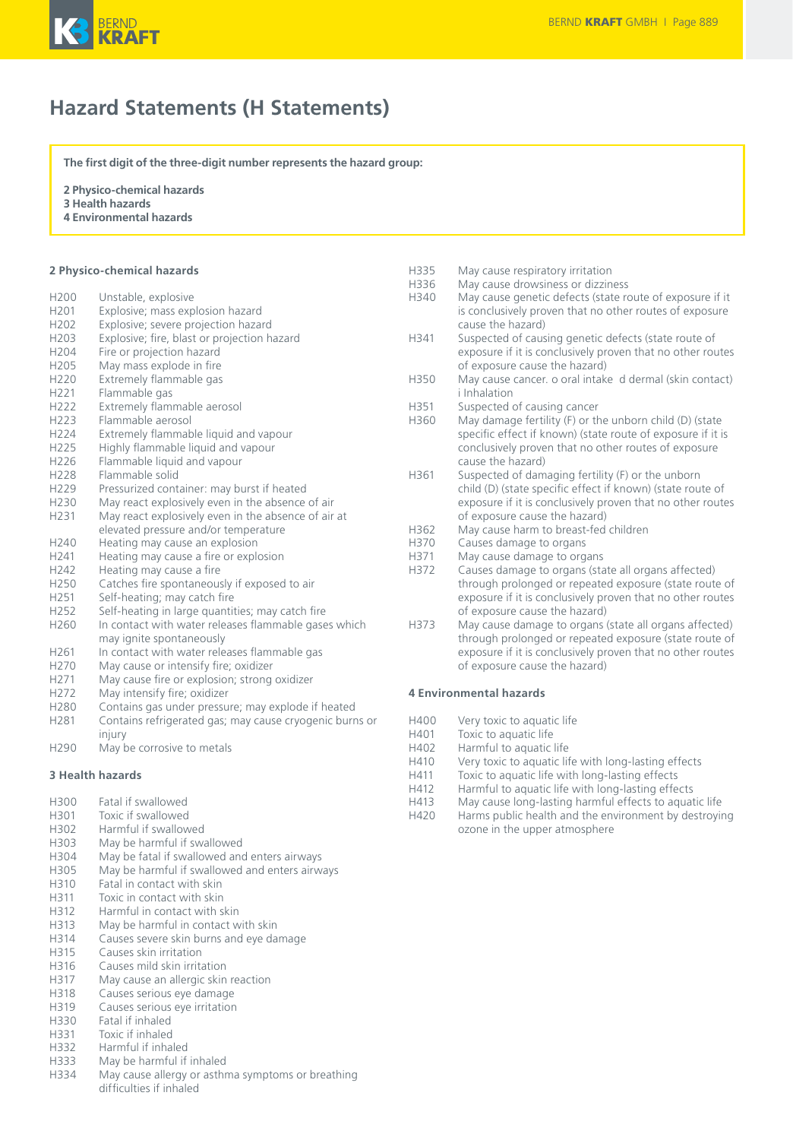

### **Hazard Statements (H Statements)**

**The first digit of the three-digit number represents the hazard group:**

**2 Physico-chemical hazards**

- **3 Health hazards**
- **4 Environmental hazards**

### **2 Physico-chemical hazards**

| H200             | Unstable, explosive                                     |
|------------------|---------------------------------------------------------|
| H <sub>201</sub> | Explosive; mass explosion hazard                        |
| H <sub>202</sub> | Explosive; severe projection hazard                     |
| H203             | Explosive; fire, blast or projection hazard             |
| H204             | Fire or projection hazard                               |
| H205             | May mass explode in fire                                |
| H <sub>220</sub> | Extremely flammable gas                                 |
| H221             | Flammable gas                                           |
| H <sub>222</sub> | Extremely flammable aerosol                             |
| H223             | Flammable aerosol                                       |
| H224             | Extremely flammable liquid and vapour                   |
| H225             | Highly flammable liquid and vapour                      |
| H226             | Flammable liquid and vapour                             |
| H228             | Flammable solid                                         |
| H229             | Pressurized container: may burst if heated              |
| H230             | May react explosively even in the absence of air        |
| H231             | May react explosively even in the absence of air at     |
|                  | elevated pressure and/or temperature                    |
| H240             | Heating may cause an explosion                          |
| H <sub>241</sub> | Heating may cause a fire or explosion                   |
| H <sub>242</sub> | Heating may cause a fire                                |
| H250             | Catches fire spontaneously if exposed to air            |
| H <sub>251</sub> | Self-heating; may catch fire                            |
| H <sub>252</sub> | Self-heating in large quantities; may catch fire        |
| H260             | In contact with water releases flammable gases which    |
|                  | may ignite spontaneously                                |
| H261             | In contact with water releases flammable gas            |
| H <sub>270</sub> | May cause or intensify fire; oxidizer                   |
| H271             | May cause fire or explosion; strong oxidizer            |
| H272             | May intensify fire; oxidizer                            |
| H280             | Contains gas under pressure; may explode if heated      |
| H281             | Contains refrigerated gas; may cause cryogenic burns or |
|                  | injury                                                  |

H290 May be corrosive to metals

#### **3 Health hazards**

- H300 Fatal if swallowed
- H301 Toxic if swallowed<br>H302 Harmful if swallow
- Harmful if swallowed
- H303 May be harmful if swallowed
- H304 May be fatal if swallowed and enters airways
- May be harmful if swallowed and enters airways
- H310 Fatal in contact with skin<br>H311 Toxic in contact with skin
- H311 Toxic in contact with skin<br>H312 Harmful in contact with s
- Harmful in contact with skin
- H313 May be harmful in contact with skin<br>H314 Causes severe skin burns and eve da
- Causes severe skin burns and eye damage
- H315 Causes skin irritation<br>H316 Causes mild skin irrita
- H316 Causes mild skin irritation<br>H317 May cause an allergic skin
- May cause an allergic skin reaction
- H318 Causes serious eye damage
- H319 Causes serious eye irritation
- H330 Fatal if inhaled
- H331 Toxic if inhaled
- H332 Harmful if inhaled
- H333 May be harmful if inhaled
- H334 May cause allergy or asthma symptoms or breathing difficulties if inhaled
- H335 May cause respiratory irritation H336 May cause drowsiness or dizziness<br>H340 May cause genetic defects (state re May cause genetic defects (state route of exposure if it is conclusively proven that no other routes of exposure cause the hazard) H341 Suspected of causing genetic defects (state route of exposure if it is conclusively proven that no other routes of exposure cause the hazard) H350 May cause cancer. o oral intake d dermal (skin contact) i Inhalation H351 Suspected of causing cancer H360 May damage fertility (F) or the unborn child (D) (state specific effect if known) (state route of exposure if it is conclusively proven that no other routes of exposure cause the hazard) H361 Suspected of damaging fertility (F) or the unborn child (D) (state specific effect if known) (state route of exposure if it is conclusively proven that no other routes of exposure cause the hazard) H362 May cause harm to breast-fed children H370 Causes damage to organs H371 May cause damage to organs<br>H372 Causes damage to organs (sta Causes damage to organs (state all organs affected) through prolonged or repeated exposure (state route of exposure if it is conclusively proven that no other routes of exposure cause the hazard) H373 May cause damage to organs (state all organs affected) through prolonged or repeated exposure (state route of exposure if it is conclusively proven that no other routes of exposure cause the hazard) **4 Environmental hazards**
- H400 Very toxic to aquatic life
- H401 Toxic to aquatic life<br>H402 Harmful to aquatic
- H402 Harmful to aquatic life<br>H410 Very toxic to aquatic life
- H410 Very toxic to aquatic life with long-lasting effects<br>H411 Toxic to aquatic life with long-lasting effects
- Toxic to aquatic life with long-lasting effects
- H412 Harmful to aquatic life with long-lasting effects
- May cause long-lasting harmful effects to aquatic life
- H420 Harms public health and the environment by destroying ozone in the upper atmosphere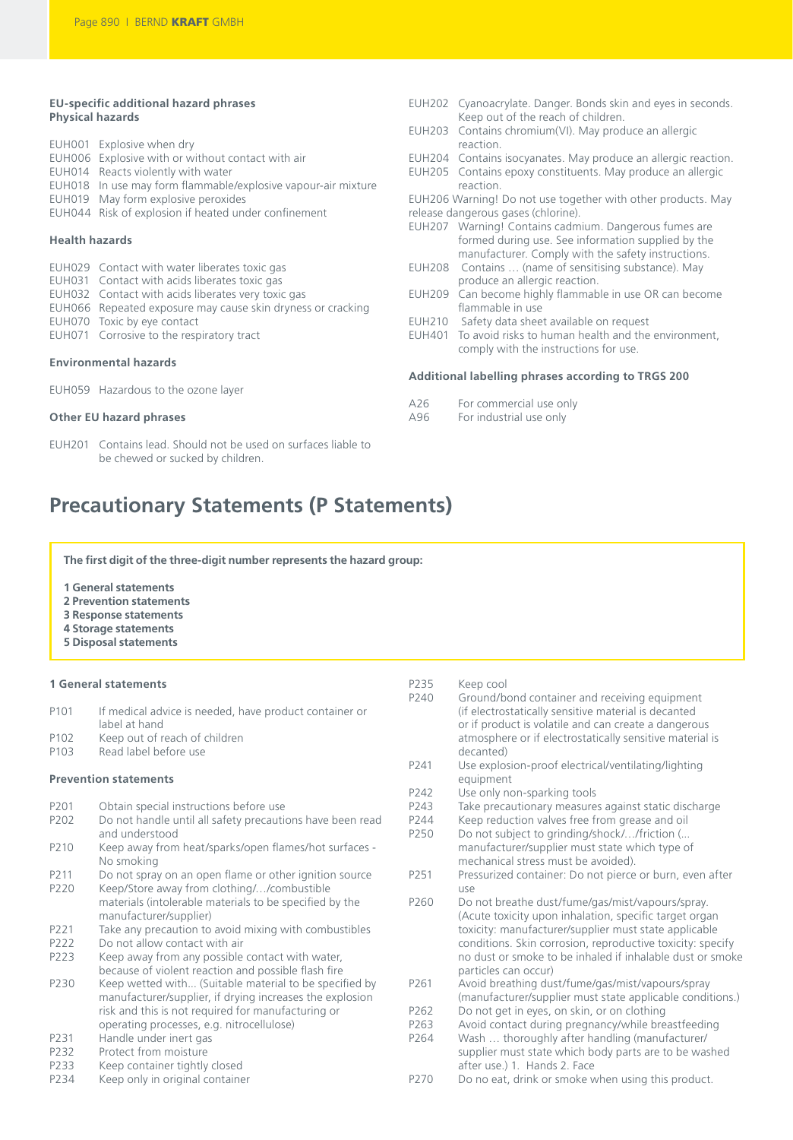### **EU-specific additional hazard phrases Physical hazards**

| EUH001 Explosive when dry                                     |
|---------------------------------------------------------------|
| EUH006 Explosive with or without contact with air             |
| EUH014 Reacts violently with water                            |
| EUH018 In use may form flammable/explosive vapour-air mixture |
| EUH019 May form explosive peroxides                           |
| EUH044 Risk of explosion if heated under confinement          |
|                                                               |

### **Health hazards**

| EUH029 Contact with water liberates toxic gas               |
|-------------------------------------------------------------|
| EUH031 Contact with acids liberates toxic gas               |
| EUH032 Contact with acids liberates very toxic gas          |
| EUH066 Repeated exposure may cause skin dryness or cracking |
| EUH070 Toxic by eye contact                                 |
|                                                             |

EUH071 Corrosive to the respiratory tract

### **Environmental hazards**

EUH059 Hazardous to the ozone layer

### **Other EU hazard phrases**

EUH201 Contains lead. Should not be used on surfaces liable to be chewed or sucked by children.

- EUH202 Cyanoacrylate. Danger. Bonds skin and eyes in seconds. Keep out of the reach of children. EUH203 Contains chromium(VI). May produce an allergic
- reaction. EUH204 Contains isocyanates. May produce an allergic reaction.
- EUH205 Contains epoxy constituents. May produce an allergic
- reaction. EUH206 Warning! Do not use together with other products. May release dangerous gases (chlorine).
- EUH207 Warning! Contains cadmium. Dangerous fumes are formed during use. See information supplied by the manufacturer. Comply with the safety instructions.
- EUH208 Contains … (name of sensitising substance). May produce an allergic reaction.
- EUH209 Can become highly flammable in use OR can become flammable in use
- EUH210 Safety data sheet available on request
- EUH401 To avoid risks to human health and the environment, comply with the instructions for use.

### **Additional labelling phrases according to TRGS 200**

- A26 For commercial use only<br>A96 For industrial use only
- For industrial use only

### **Precautionary Statements (P Statements)**

**The first digit of the three-digit number represents the hazard group:**

#### **1 General statements**

- **2 Prevention statements**
- **3 Response statements**
- **4 Storage statements**
- **5 Disposal statements**

### **1 General statements**

| P <sub>101</sub> | If medical advice is needed, have product container or |
|------------------|--------------------------------------------------------|
|                  | label at hand                                          |
| P <sub>102</sub> | Keep out of reach of children                          |

P103 Read label before use

#### **Prevention statements**

- P201 Obtain special instructions before use
- P202 Do not handle until all safety precautions have been read and understood
- P210 Keep away from heat/sparks/open flames/hot surfaces No smoking
- P211 Do not spray on an open flame or other ignition source
- P220 Keep/Store away from clothing/…/combustible materials (intolerable materials to be specified by the manufacturer/supplier)
- P221 Take any precaution to avoid mixing with combustibles
- P222 Do not allow contact with air

P223 Keep away from any possible contact with water, because of violent reaction and possible flash fire

- P230 Keep wetted with... (Suitable material to be specified by manufacturer/supplier, if drying increases the explosion risk and this is not required for manufacturing or operating processes, e.g. nitrocellulose)
- P231 Handle under inert gas<br>P232 Protect from moisture
- P232 Protect from moisture<br>P233 Keep container tightly
- P233 Keep container tightly closed<br>P234 Keep only in original containe
- Keep only in original container

- P235 Keep cool<br>P240 Ground/b Ground/bond container and receiving equipment (if electrostatically sensitive material is decanted or if product is volatile and can create a dangerous atmosphere or if electrostatically sensitive material is decanted) P241 Use explosion-proof electrical/ventilating/lighting
- equipment
- P242 Use only non-sparking tools<br>P243 Take precautionary measure
- Take precautionary measures against static discharge
- P244 Keep reduction valves free from grease and oil<br>P250 Do not subject to grinding/shock/.../friction (... Do not subject to grinding/shock/.../friction (...
- manufacturer/supplier must state which type of mechanical stress must be avoided).
- P251 Pressurized container: Do not pierce or burn, even after use
- P260 Do not breathe dust/fume/gas/mist/vapours/spray. (Acute toxicity upon inhalation, specific target organ toxicity: manufacturer/supplier must state applicable conditions. Skin corrosion, reproductive toxicity: specify no dust or smoke to be inhaled if inhalable dust or smoke particles can occur)
- P261 Avoid breathing dust/fume/gas/mist/vapours/spray (manufacturer/supplier must state applicable conditions.)
- P262 Do not get in eyes, on skin, or on clothing
- P263 Avoid contact during pregnancy/while breastfeeding<br>P264 Wash ... thoroughly after handling (manufacturer/ Wash ... thoroughly after handling (manufacturer/
- supplier must state which body parts are to be washed after use.) 1. Hands 2. Face
- P270 Do no eat, drink or smoke when using this product.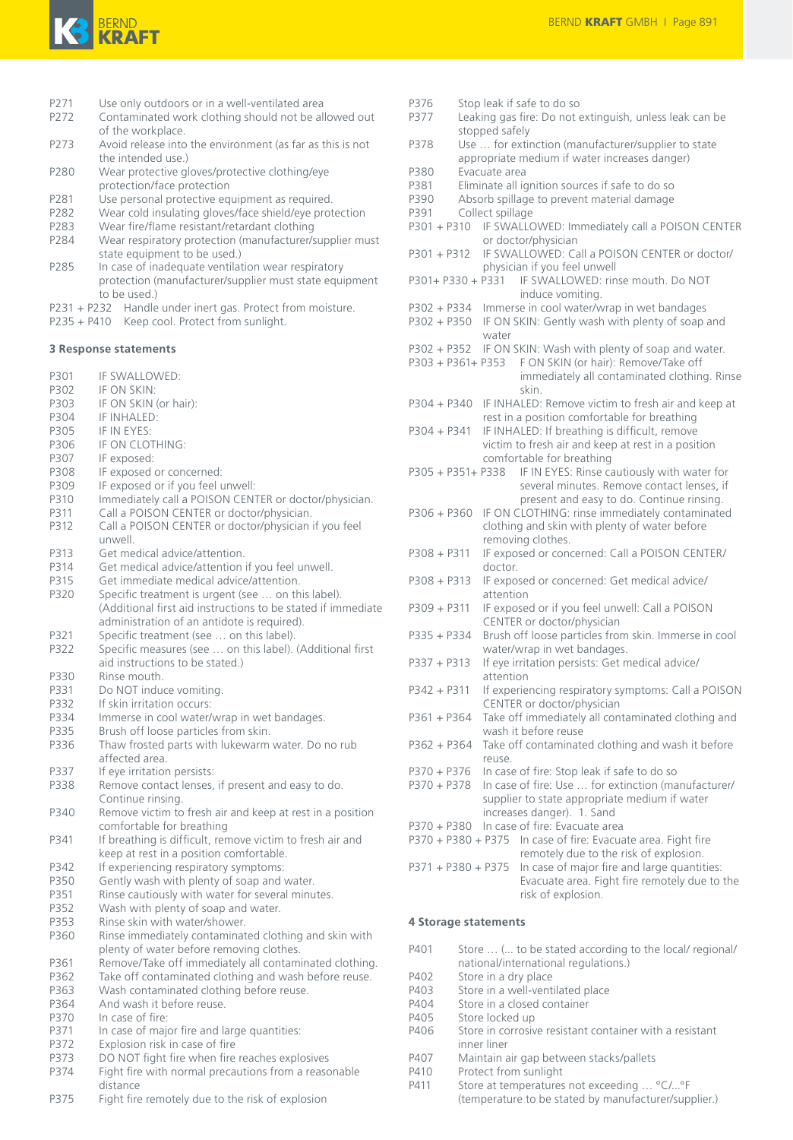

- P271 Use only outdoors or in a well-ventilated area
- P272 Contaminated work clothing should not be allowed out of the workplace.
- P273 Avoid release into the environment (as far as this is not the intended use.)
- P280 Wear protective gloves/protective clothing/eye protection/face protection
- P281 Use personal protective equipment as required.
- P282 Wear cold insulating gloves/face shield/eye protection<br>P283 Wear fire/flame resistant/retardant clothing
- Wear fire/flame resistant/retardant clothing
- P284 Wear respiratory protection (manufacturer/supplier must state equipment to be used.)
- P285 In case of inadequate ventilation wear respiratory protection (manufacturer/supplier must state equipment to be used.)
- P231 + P232 Handle under inert gas. Protect from moisture.
- P235 + P410 Keep cool. Protect from sunlight.

### **3 Response statements**

- P301 IF SWALLOWED:
- P302 IF ON SKIN:<br>P303 IF ON SKIN
- P303 IF ON SKIN (or hair):<br>P304 IF INHALED:
- P304 IF INHALED:<br>P305 IF IN EYES:
- P305 IF IN EYES:<br>P306 IF ON CLOT IF ON CLOTHING:
- 
- P307 IF exposed:<br>P308 IF exposed
- P308 IF exposed or concerned:<br>P309 IF exposed or if you feel u
- P309 IF exposed or if you feel unwell:<br>P310 Immediately call a POISON CEN Immediately call a POISON CENTER or doctor/physician.
- P311 Call a POISON CENTER or doctor/physician.
- P312 Call a POISON CENTER or doctor/physician if you feel unwell.
- P313 Get medical advice/attention.<br>P314 Get medical advice/attention.
- Get medical advice/attention if you feel unwell.
- P315 Get immediate medical advice/attention.
- P320 Specific treatment is urgent (see ... on this label). (Additional first aid instructions to be stated if immediate administration of an antidote is required).
- P321 Specific treatment (see ... on this label). P322 Specific measures (see … on this label). (Additional first
- aid instructions to be stated.)
- P330 Rinse mouth.
- P331 Do NOT induce vomiting.<br>P332 If skin irritation occurs:
- P332 If skin irritation occurs:<br>P334 Immerse in cool water/
- Immerse in cool water/wrap in wet bandages.
- P335 Brush off loose particles from skin.
- P336 Thaw frosted parts with lukewarm water. Do no rub affected area.
- P337 If eye irritation persists:
- P338 Remove contact lenses, if present and easy to do. Continue rinsing.
- P340 Remove victim to fresh air and keep at rest in a position comfortable for breathing
- P341 If breathing is difficult, remove victim to fresh air and keep at rest in a position comfortable.
- P342 If experiencing respiratory symptoms:
- P350 Gently wash with plenty of soap and water.<br>P351 Binse cautiously with water for several minure
- P351 Rinse cautiously with water for several minutes.<br>P352 Wash with plenty of soap and water.
- Wash with plenty of soap and water.
- P353 Rinse skin with water/shower.<br>P360 Rinse immediately contaminat
- Rinse immediately contaminated clothing and skin with plenty of water before removing clothes.
- P361 Remove/Take off immediately all contaminated clothing.<br>P362 Take off contaminated clothing and wash before reuse.
- Take off contaminated clothing and wash before reuse.
- P363 Wash contaminated clothing before reuse.<br>P364 And wash it before reuse And wash it before reuse.
- 
- P370 In case of fire:<br>P371 In case of mair In case of major fire and large quantities:
- P372 Explosion risk in case of fire
- P373 DO NOT fight fire when fire reaches explosives
- P374 Fight fire with normal precautions from a reasonable distance
- P375 Fight fire remotely due to the risk of explosion

P376 Stop leak if safe to do so P377 Leaking gas fire: Do not extinguish, unless leak can be stopped safely P378 Use … for extinction (manufacturer/supplier to state appropriate medium if water increases danger) P380 Evacuate area<br>P381 Eliminate all io P381 Eliminate all ignition sources if safe to do so<br>P390 Absorb spillage to prevent material damage Absorb spillage to prevent material damage P391 Collect spillage P301 + P310 IF SWALLOWED: Immediately call a POISON CENTER or doctor/physician P301 + P312 IF SWALLOWED: Call a POISON CENTER or doctor/ physician if you feel unwell P301+ P330 + P331 IF SWALLOWED: rinse mouth. Do NOT induce vomiting. P302 + P334 Immerse in cool water/wrap in wet bandages P302 + P350 IF ON SKIN: Gently wash with plenty of soap and water P302 + P352 IF ON SKIN: Wash with plenty of soap and water. P303 + P361+ P353 F ON SKIN (or hair): Remove/Take off immediately all contaminated clothing. Rinse skin. P304 + P340 IF INHALED: Remove victim to fresh air and keep at rest in a position comfortable for breathing P304 + P341 IF INHALED: If breathing is difficult, remove victim to fresh air and keep at rest in a position comfortable for breathing<br>P305 + P351+ P338 IF IN EYES: Rinse ca IF IN EYES: Rinse cautiously with water for several minutes. Remove contact lenses, if present and easy to do. Continue rinsing. P306 + P360 IF ON CLOTHING: rinse immediately contaminated clothing and skin with plenty of water before removing clothes. P308 + P311 IF exposed or concerned: Call a POISON CENTER/ doctor. P308 + P313 IF exposed or concerned: Get medical advice/ attention P309 + P311 IF exposed or if you feel unwell: Call a POISON CENTER or doctor/physician P335 + P334 Brush off loose particles from skin. Immerse in cool water/wrap in wet bandages. P337 + P313 If eye irritation persists: Get medical advice/ attention P342 + P311 If experiencing respiratory symptoms: Call a POISON CENTER or doctor/physician P361 + P364 Take off immediately all contaminated clothing and wash it before reuse P362 + P364 Take off contaminated clothing and wash it before reuse. P370 + P376 In case of fire: Stop leak if safe to do so P370 + P378 In case of fire: Use … for extinction (manufacturer/ supplier to state appropriate medium if water increases danger). 1. Sand P370 + P380 In case of fire: Evacuate area P370 + P380 + P375 In case of fire: Evacuate area. Fight fire remotely due to the risk of explosion. P371 + P380 + P375 In case of major fire and large quantities: Evacuate area. Fight fire remotely due to the risk of explosion.

### **4 Storage statements**

- P401 Store ... (... to be stated according to the local/ regional/ national/international regulations.) P402 Store in a dry place
- P403 Store in a well-ventilated place<br>P404 Store in a closed container Store in a closed container
- P405 Store locked up
- 
- P406 Store in corrosive resistant container with a resistant inner liner
- P407 Maintain air gap between stacks/pallets<br>P410 Protect from sunlight
- Protect from sunlight
- P411 Store at temperatures not exceeding … °C/...°F (temperature to be stated by manufacturer/supplier.)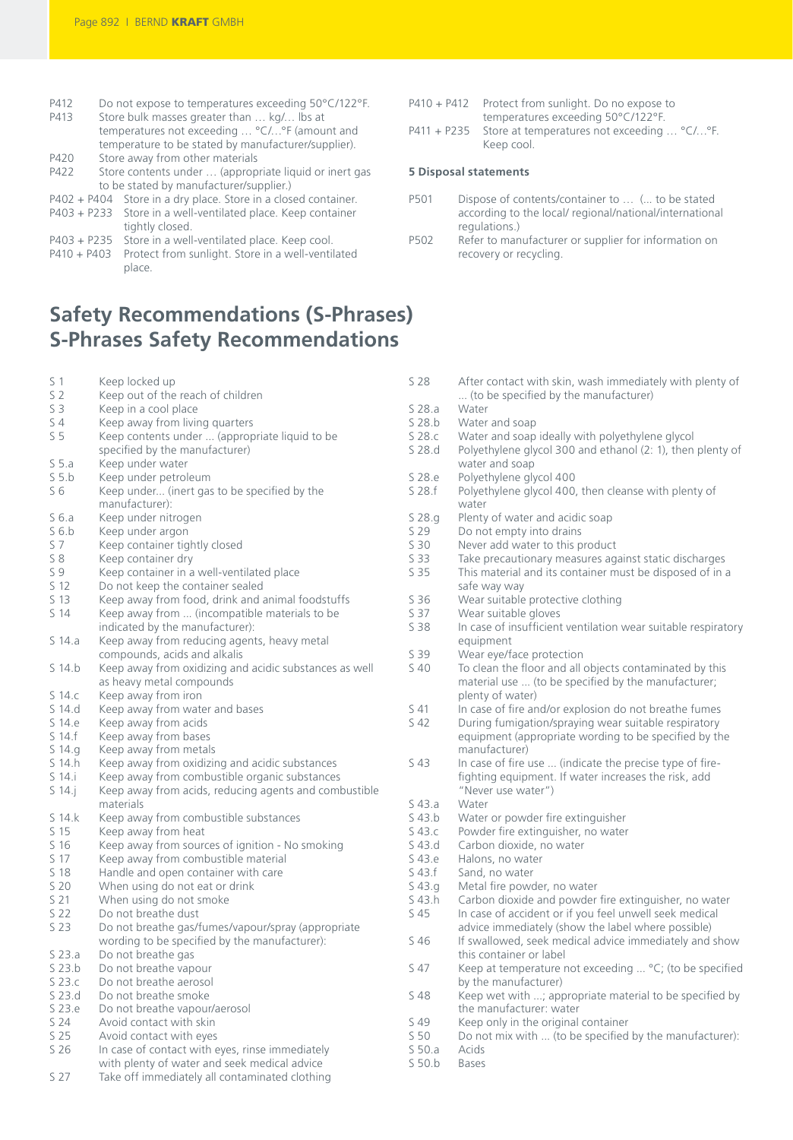P412 Do not expose to temperatures exceeding 50°C/122°F.

| P413  | Store bulk masses greater than  kg/ lbs at                     |
|-------|----------------------------------------------------------------|
|       | temperatures not exceeding  °C/°F (amount and                  |
|       | temperature to be stated by manufacturer/supplier).            |
| P420  | Store away from other materials                                |
| 0.422 | Casos senareare condito - - /senarearearea Record settembre en |

- P422 Store contents under … (appropriate liquid or inert gas to be stated by manufacturer/supplier.)
- P402 + P404 Store in a dry place. Store in a closed container.
- P403 + P233 Store in a well-ventilated place. Keep container tightly closed. P403 + P235 Store in a well-ventilated place. Keep cool.
- P410 + P403 Protect from sunlight. Store in a well-ventilated
- place.

## **Safety Recommendations (S-Phrases) S-Phrases Safety Recommendations**

- S 1 Keep locked up<br>S 2 Keep out of the
- Keep out of the reach of children
- S 3 Keep in a cool place<br>S 4 Keep away from living
- Keep away from living quarters
- S 5 Keep contents under ... (appropriate liquid to be specified by the manufacturer)
- S 5.a Keep under water<br>S 5.b Keep under petrol
- S 5.b Keep under petroleum<br>S 6 Keep under... (inert gas
- Keep under... (inert gas to be specified by the manufacturer):
- S 6.a Keep under nitrogen<br>S 6.b Keep under argon
- S 6.b Keep under argon<br>S 7 Keep container tig
- S 7 Keep container tightly closed<br>S 8 Keep container drv
- Keep container dry
- S 9 Keep container in a well-ventilated place<br>S 12 Do not keep the container sealed
- S 12 Do not keep the container sealed<br>S 13 Keep away from food drink and a
- S 13 Keep away from food, drink and animal foodstuffs<br>S 14 Keep away from ... (incompatible materials to be
- Keep away from ... (incompatible materials to be indicated by the manufacturer):
- S 14.a Keep away from reducing agents, heavy metal compounds, acids and alkalis
- S 14.b Keep away from oxidizing and acidic substances as well as heavy metal compounds
- S 14.c Keep away from iron
- S 14.d Keep away from water and bases<br>S 14.e Keep away from acids
- Keep away from acids
- S 14.f Keep away from bases<br>S 14.g Keep away from metal
- S 14.g Keep away from metals<br>S 14.h Keep away from oxidizir
- Keep away from oxidizing and acidic substances
- S 14.i Keep away from combustible organic substances<br>S 14.j Keep away from acids, reducing agents and comb Keep away from acids, reducing agents and combustible materials
- S 14.k Keep away from combustible substances<br>S 15 Keep away from heat
- S 15 Keep away from heat<br>S 16 Keep away from source
- S 16 Keep away from sources of ignition No smoking<br>S 17 Keep away from combustible material
- S 17 Keep away from combustible material<br>S 18 Handle and open container with care
- Handle and open container with care
- S 20 When using do not eat or drink<br>S 21 When using do not smoke
- When using do not smoke
- S 22 Do not breathe dust<br>S 23 Do not breathe gas/
- Do not breathe gas/fumes/vapour/spray (appropriate wording to be specified by the manufacturer):
- S 23.a Do not breathe gas
- S 23.b Do not breathe vapour<br>S 23.c Do not breathe aerosol
- Do not breathe aerosol
- S 23.d Do not breathe smoke<br>S 23.e Do not breathe vanour
- Do not breathe vapour/aerosol
- S 24 Avoid contact with skin
- S 25 Avoid contact with eyes<br>S 26 In case of contact with e
- In case of contact with eyes, rinse immediately with plenty of water and seek medical advice<br>S 27 Take off immediately all contaminated clothing
- Take off immediately all contaminated clothing
- P410 + P412 Protect from sunlight. Do no expose to temperatures exceeding 50°C/122°F.
- P411 + P235 Store at temperatures not exceeding … °C/…°F. Keep cool.

### **5 Disposal statements**

- P501 Dispose of contents/container to … (... to be stated according to the local/ regional/national/international regulations.)
- P502 Refer to manufacturer or supplier for information on recovery or recycling.
- S 28 After contact with skin, wash immediately with plenty of ... (to be specified by the manufacturer) S 28.a Water<br>S 28.b Water
- Water and soap
- S 28.c Water and soap ideally with polyethylene glycol<br>S 28.d Polyethylene glycol 300 and ethanol (2: 1), then
- Polyethylene glycol 300 and ethanol (2: 1), then plenty of water and soap
- S 28.e Polyethylene glycol 400<br>S 28.f Polyethylene glycol 400
	- Polyethylene glycol 400, then cleanse with plenty of water
- S 28.g Plenty of water and acidic soap<br>S 29 Do not empty into drains
- S 29 Do not empty into drains<br>S 30 Never add water to this p
- S 30 Never add water to this product<br>S 33 Take precautionary measures aga
- S 33 Take precautionary measures against static discharges<br>S 35 This material and its container must be disposed of in a
- This material and its container must be disposed of in a safe way way
- S 36 Wear suitable protective clothing<br>S 37 Wear suitable gloves
- S 37 Wear suitable gloves<br>S 38 In case of insufficient
- In case of insufficient ventilation wear suitable respiratory equipment
- S 39 Wear eye/face protection
- S 40 To clean the floor and all objects contaminated by this material use ... (to be specified by the manufacturer; plenty of water)
- S 41 In case of fire and/or explosion do not breathe fumes<br>S 42 During fumigation/spraying wear suitable respiratory
- During fumigation/spraying wear suitable respiratory equipment (appropriate wording to be specified by the manufacturer)
- S 43 In case of fire use ... (indicate the precise type of firefighting equipment. If water increases the risk, add "Never use water")
- S 43.a Water<br>S 43.b Water
- S 43.b Water or powder fire extinguisher<br>S 43.c Powder fire extinguisher, no water
- S 43.c Powder fire extinguisher, no water<br>S 43.d Carbon dioxide no water
- S 43.d Carbon dioxide, no water<br>S 43.e Halons, no water
- S 43.e Halons, no water<br>S 43.f Sand no water
- S 43.f Sand, no water<br>S 43.g Metal fire power
- S 43.g Metal fire powder, no water<br>S 43.h Carbon dioxide and powder S 43.h Carbon dioxide and powder fire extinguisher, no water<br>S 45 In case of accident or if you feel unwell seek medical
- In case of accident or if you feel unwell seek medical
- advice immediately (show the label where possible) S 46 If swallowed, seek medical advice immediately and show this container or label
- S 47 Keep at temperature not exceeding ... °C; (to be specified by the manufacturer)
- S 48 Keep wet with ...; appropriate material to be specified by the manufacturer: water
- S 49 Keep only in the original container<br>S 50 Do not mix with ... (to be specified
- Do not mix with ... (to be specified by the manufacturer):<br>Acids
- S 50.a Acids<br>S 50.b Bases
- $S$  50.b